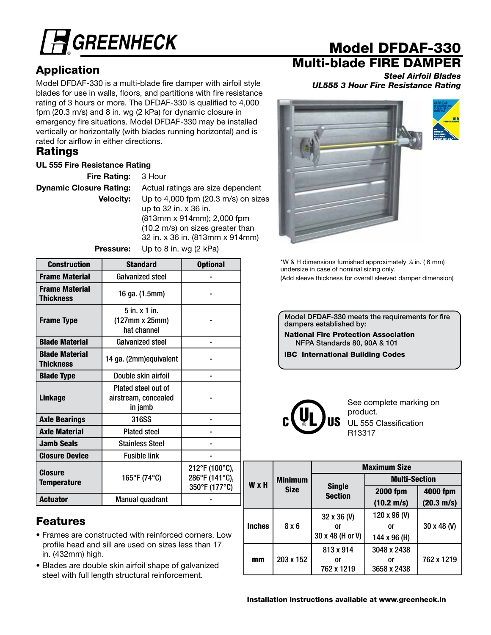

# Application

Model DFDAF-330 is a multi-blade fire damper with airfoil style blades for use in walls, floors, and partitions with fire resistance rating of 3 hours or more. The DFDAF-330 is qualified to 4,000 fpm (20.3 m/s) and 8 in. wg (2 kPa) for dynamic closure in emergency fire situations. Model DFDAF-330 may be installed vertically or horizontally (with blades running horizontal) and is rated for airflow in either directions.

## **Ratings**

### UL 555 Fire Resistance Rating

Fire Rating: 3 Hour

**Dynamic Closure Rating:** Actual ratings are size dependent **Velocity:** Up to 4,000 fpm (20.3 m/s) on sizes up to 32 in. x 36 in. (813mm x 914mm); 2,000 fpm (10.2 m/s) on sizes greater than 32 in. x 36 in. (813mm x 914mm)

**Pressure:** Up to 8 in. wg (2 kPa)

Construction Standard I Optional Frame Material Galvanized steel - Frame Material Thickness 16 ga. (1.5mm) -Frame Type 5 in. x 1 in. (127mm x 25mm) hat channel - Blade Material Galvanized steel - Blade Material Blaue material de 14 ga. (2mm)equivalent | Financie -Blade Type **Double skin airfoil** Linkage Plated steel out of airstream, concealed in jamb - Axle Bearings | 316SS | -Axle Material Plated steel Jamb Seals **Stainless** Steel Fig. 5. Closure Device **Reduction** Fusible link **Closure** Temperature 165°F (74°C) 212°F (100°C), 286°F (141°C), 350°F (177°C) Actuator | Manual quadrant

## Features

- Frames are constructed with reinforced corners. Low profile head and sill are used on sizes less than 17 in. (432mm) high.
- Blades are double skin airfoil shape of galvanized steel with full length structural reinforcement.

# Model DFDAF-330

# Multi-blade FIRE DAMPER

*Steel Airfoil Blades UL555 3 Hour Fire Resistance Rating*



\*W & H dimensions furnished approximately 1 ⁄4 in. ( 6 mm) undersize in case of nominal sizing only. (Add sleeve thickness for overall sleeved damper dimension)

Model DFDAF-330 meets the requirements for fire dampers established by:

National Fire Protection Association NFPA Standards 80, 90A & 101

IBC International Building Codes



See complete marking on product. UL 555 Classification R13317

|               |                | <b>Maximum Size</b>             |                      |                      |  |  |  |
|---------------|----------------|---------------------------------|----------------------|----------------------|--|--|--|
| <b>W</b> x H  | <b>Minimum</b> |                                 | <b>Multi-Section</b> |                      |  |  |  |
|               | <b>Size</b>    | <b>Single</b><br><b>Section</b> | <b>2000 fpm</b>      | 4000 fpm             |  |  |  |
|               |                |                                 | $(10.2 \text{ m/s})$ | $(20.3 \text{ m/s})$ |  |  |  |
| <b>Inches</b> | 8x6            | 32 x 36 (V)                     | 120 x 96 (V)         |                      |  |  |  |
|               |                | or                              | or                   | 30 x 48 (V)          |  |  |  |
|               |                | 30 x 48 (H or V)                | 144 x 96 (H)         |                      |  |  |  |
|               | 813 x 914      |                                 | 3048 x 2438          |                      |  |  |  |
| mm            | 203 x 152      | or<br>or                        |                      | 762 x 1219           |  |  |  |
|               |                | 762 x 1219                      | 3658 x 2438          |                      |  |  |  |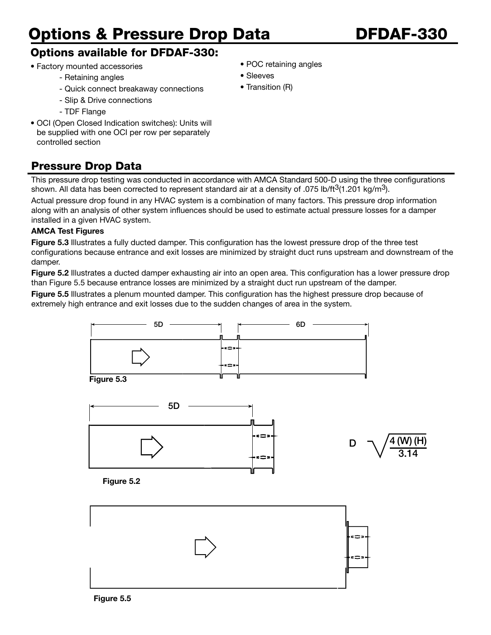# Options & Pressure Drop Data DFDAF-330

## Options available for DFDAF-330:

- Factory mounted accessories
	- Retaining angles
	- Quick connect breakaway connections
	- Slip & Drive connections
	- TDF Flange
- OCI (Open Closed Indication switches): Units will be supplied with one OCI per row per separately controlled section

# Pressure Drop Data

This pressure drop testing was conducted in accordance with AMCA Standard 500-D using the three configurations shown. All data has been corrected to represent standard air at a density of .075 lb/ft<sup>3</sup>(1.201 kg/m<sup>3</sup>).

Actual pressure drop found in any HVAC system is a combination of many factors. This pressure drop information along with an analysis of other system influences should be used to estimate actual pressure losses for a damper installed in a given HVAC system.

### AMCA Test Figures

Figure 5.3 Illustrates a fully ducted damper. This configuration has the lowest pressure drop of the three test configurations because entrance and exit losses are minimized by straight duct runs upstream and downstream of the damper.

Figure 5.2 Illustrates a ducted damper exhausting air into an open area. This configuration has a lower pressure drop than Figure 5.5 because entrance losses are minimized by a straight duct run upstream of the damper.

Figure 5.5 Illustrates a plenum mounted damper. This configuration has the highest pressure drop because of extremely high entrance and exit losses due to the sudden changes of area in the system.





- POC retaining angles
- Sleeves
- Transition (R)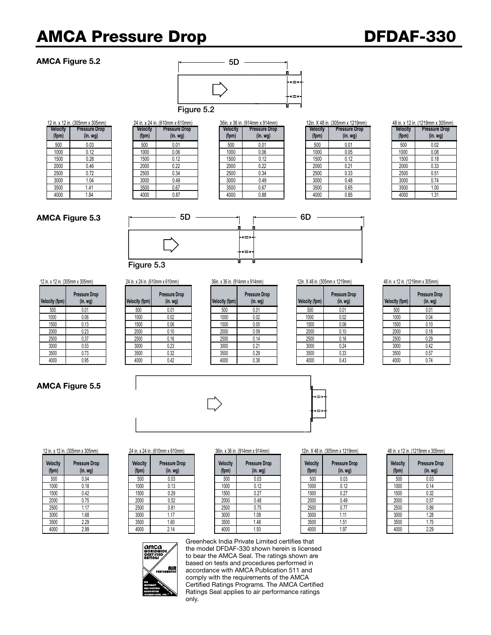# AMCA Pressure Drop DFDAF-330 Figure 5.3

### AMCA Figure 5.2



|                          | 12 in. x 12 in. (305mm x 305mm)          |                          | 24 in. x 24 in. (610mm x 610mm) |                          | 36in. x 36 in. (914mm x 914mm)           | 12in. X 48 in. (305mn    |      |
|--------------------------|------------------------------------------|--------------------------|---------------------------------|--------------------------|------------------------------------------|--------------------------|------|
| <b>Velocity</b><br>(fpm) | <b>Pressure Drop</b><br>(in. <i>wg</i> ) | <b>Velocity</b><br>(fpm) | <b>Pressure Drop</b><br>(in.wg) | <b>Velocity</b><br>(fpm) | <b>Pressure Drop</b><br>(in. <i>wq</i> ) | <b>Velocity</b><br>(fpm) | Pres |
| 500                      | 0.03                                     | 500                      | 0.01                            | 500                      | 0.01                                     | 500                      |      |
| 1000                     | 0.12                                     | 1000                     | 0.06                            | 1000                     | 0.06                                     | 1000                     |      |
| 1500                     | 0.26                                     | 1500                     | 0.12                            | 1500                     | 0.12                                     | 1500                     |      |
| 2000                     | 0.46                                     | 2000                     | 0.22                            | 2000                     | 0.22                                     | 2000                     |      |
| 2500                     | 0.72                                     | 2500                     | 0.34                            | 2500                     | 0.34                                     | 2500                     |      |
| 3000                     | 1.04                                     | 3000                     | 0.49                            | 3000                     | 0.49                                     | 3000                     |      |
| 3500                     | 1.41                                     | 3500                     | 0.67                            | 3500                     | 0.67                                     | 3500                     |      |
| 4000                     | 1.84                                     | 4000                     | 0.87                            | 4000                     | 0.88                                     | 4000                     |      |

|         | <b>I.A. IL III. (JUJIIIIIIA JUJIIIIII)</b> |          | 2 T III. A 2 T III. (V I VIIIIII A V I VIIIIII <i>I</i> |                 | $U$ ווווודו $V$ A ווווודו $V$ ווווודו A ווווודו |          | <b>ILIII. A TU III. (JUJIIIIII A TL IJIIIIII)</b> |                 | <b>TU III.</b> A <b>IZ III.</b> (IZ IVIIIIII A ) |
|---------|--------------------------------------------|----------|---------------------------------------------------------|-----------------|-------------------------------------------------|----------|---------------------------------------------------|-----------------|--------------------------------------------------|
| elocity | <b>Pressure Drop</b>                       | Velocity | <b>Pressure Drop</b>                                    | <b>Velocity</b> | <b>Pressure Drop</b>                            | Velocity | <b>Pressure Drop</b>                              | <b>Velocity</b> | <b>Pressure</b>                                  |
| (fpm)   | (in. <i>wg</i> )                           | (fpm)    | (in. <i>wg</i> )                                        | (fpm)           | (in. <i>wg</i> )                                | (fpm)    | (in.wg)                                           | (fpm)           | (in. w)                                          |
| 500     | 0.03                                       | 500      | 0.01                                                    | 500             | 0.01                                            | 500      | 0.01                                              | 500             | 0.02                                             |
| 1000    | 0.12                                       | 1000     | 0.06                                                    | 1000            | 0.06                                            | 1000     | 0.05                                              | 1000            | 0.08                                             |
| 1500    | 0.26                                       | 1500     | 0.12                                                    | 1500            | 0.12                                            | 1500     | 0.12                                              | 1500            | 0.18                                             |
| 2000    | 0.46                                       | 2000     | 0.22                                                    | 2000            | 0.22                                            | 2000     | 0.21                                              | 2000            | 0.33                                             |
| 2500    | 0.72                                       | 2500     | 0.34                                                    | 2500            | 0.34                                            | 2500     | 0.33                                              | 2500            | 0.51                                             |
| 3000    | 1.04                                       | 3000     | 0.49                                                    | 3000            | 0.49                                            | 3000     | 0.48                                              | 3000            | 0.74                                             |
| 3500    | 1.41                                       | 3500     | 0.67                                                    | 3500            | 0.67                                            | 3500     | 0.65                                              | 3500            | 1.00                                             |
| 4000    | 1.84                                       | 4000     | 0.87                                                    | 4000            | 0.88                                            | 4000     | 0.85                                              | 4000            | 1.31                                             |
|         |                                            |          |                                                         |                 |                                                 |          |                                                   |                 |                                                  |

| IZIN. A 48 IN. (JUJNIN X TZTYNIN) |                      |  |  |
|-----------------------------------|----------------------|--|--|
| Velocity                          | <b>Pressure Drop</b> |  |  |
| (fpm)                             | $(in.$ wg $)$        |  |  |
| 500                               | 0.01                 |  |  |
| 1000                              | 0.05                 |  |  |
| 1500                              | 0.12                 |  |  |
| 2000                              | 0.21                 |  |  |
| 2500                              | 0.33                 |  |  |
| 3000                              | 0.48                 |  |  |
| 3500                              | 0.65                 |  |  |
| 4000                              | 0.85                 |  |  |

| 48 in. x 12 in. (1219mm x 305mm) |                                       |  |  |
|----------------------------------|---------------------------------------|--|--|
| <b>Velocity</b><br>(fpm)         | <b>Pressure Drop</b><br>$(in.$ wg $)$ |  |  |
| 500                              | 0.02                                  |  |  |
| 1000                             | 0.08                                  |  |  |
| 1500                             | 0.18                                  |  |  |
| 2000                             | 0.33                                  |  |  |
| 2500                             | 0.51                                  |  |  |
| 3000                             | 0.74                                  |  |  |
| 3500                             | 1.00                                  |  |  |
| $\Lambda$ <sup>00</sup>          | 1 21                                  |  |  |

### AMCA Figure 5.3



| Velocity (fpm) | <b>Pressure Drop</b><br>(in. <i>wg</i> ) | <b>Velocity (fpm)</b> |
|----------------|------------------------------------------|-----------------------|
| 500            | 0.01                                     | 500                   |
| 1000           | 0.06                                     | 1000                  |
| 1500           | 0.13                                     | 1500                  |
| 2000           | 0.23                                     | 2000                  |
| 2500           | 0.37                                     | 2500                  |
| 3000           | 0.53                                     | 3000                  |
| 3500           | 0.73                                     | 3500                  |
| 4000           | 0.95                                     | 4000                  |

### AMCA Figure 5.5

**Velocity (fpm)**

|                | 12 in. x 12 in. (305mm x 305mm) | 24 in. x 24 in. (610mm x 610mm) |                                          | 36in. x 36 in. (914mm x 914mm) |                | 12in. X 48 in. (305mm x 1219mm)  |                |                                          | 48 in. x 12 in. (1219mm x 305mm) |                |                                  |
|----------------|---------------------------------|---------------------------------|------------------------------------------|--------------------------------|----------------|----------------------------------|----------------|------------------------------------------|----------------------------------|----------------|----------------------------------|
| Velocity (fpm) | <b>Pressure Drop</b><br>(in.wg) | Velocity (fpm)                  | <b>Pressure Drop</b><br>(in. <i>wg</i> ) |                                | Velocity (fpm) | <b>Pressure Drop</b><br>(in. wg) | Velocity (fpm) | <b>Pressure Drop</b><br>(in. <i>wg</i> ) |                                  | Velocity (fpm) | Pressure Dro<br>(in. <i>wg</i> ) |
| 500            | 0.01                            | 500                             | 0.01                                     |                                | 500            | 0.01                             | 500            | 0.01                                     |                                  | 500            | 0.01                             |
| 1000           | 0.06                            | 1000                            | 0.02                                     |                                | 1000           | 0.02                             | 1000           | 0.02                                     |                                  | 1000           | 0.04                             |
| 1500           | 0.13                            | 1500                            | 0.06                                     |                                | 1500           | 0.05                             | 1500           | 0.06                                     |                                  | 1500           | 0.10                             |
| 2000           | 0.23                            | 2000                            | 0.10                                     |                                | 2000           | 0.09                             | 2000           | 0.10                                     |                                  | 2000           | 0.18                             |
| 2500           | 0.37                            | 2500                            | 0.16                                     |                                | 2500           | 0.14                             | 2500           | 0.16                                     |                                  | 2500           | 0.29                             |
| 3000           | 0.53                            | 3000                            | 0.23                                     |                                | 3000           | 0.21                             | 3000           | 0.24                                     |                                  | 3000           | 0.42                             |
| 3500           | 0.73                            | 3500                            | 0.32                                     |                                | 3500           | 0.29                             | 3500           | 0.33                                     |                                  | 3500           | 0.57                             |
| 4000           | 0.95                            | 4000                            | 0.42                                     |                                | 4000           | 0.38                             | 4000           | 0.43                                     |                                  | 4000           | 0.74                             |
|                |                                 |                                 |                                          |                                |                |                                  |                |                                          |                                  |                |                                  |

| Velocity (fpm) | <b>Pressure Drop</b><br>(in. <i>wq</i> ) |
|----------------|------------------------------------------|
| 500            | 0.01                                     |
| 1000           | 0.02                                     |
| 1500           | 0.05                                     |
| 2000           | 0.09                                     |
| 2500           | 0.14                                     |
| 3000           | 0.21                                     |
| 3500           | 0.29                                     |
| 4000           | 0.38                                     |

| Velocity (fpm) | <b>Pressure Drop</b><br>(in. <i>wg</i> ) | Velocity (fpm) |
|----------------|------------------------------------------|----------------|
| 500            | 0.01                                     | 500            |
| 1000           | 0.02                                     | 1000           |
| 1500           | 0.06                                     | 1500           |
| 2000           | 0.10                                     | 2000           |
| 2500           | 0.16                                     | 2500           |
| 3000           | 0.24                                     | 3000           |
| 3500           | 0.33                                     | 3500           |
| 4000           | 0.43                                     | 4000           |

| <b>Velocity (fpm)</b> | <b>Pressure Drop</b><br>$(in.$ wg $)$ |
|-----------------------|---------------------------------------|
| 500                   | 0.01                                  |
| 1000                  | 0.04                                  |
| 1500                  | 0.10                                  |
| 2000                  | 0.18                                  |
| 2500                  | 0.29                                  |
| 3000                  | 0.42                                  |
| 3500                  | 0.57                                  |
| 4000                  | 0.74                                  |





| <b>Velocity</b><br>(fpm) | <b>Pressure Drop</b><br>(in. wg) |
|--------------------------|----------------------------------|
| 500                      | 0.03                             |
| 1000                     | 0.14                             |
| 1500                     | 0.32                             |
| 2000                     | 0.57                             |
| 2500                     | 0.89                             |
| 3000                     | 1.28                             |
| 3500                     | 1.75                             |
| 4000                     | 2.29                             |

| Ю | 214                                                                    |                                                |
|---|------------------------------------------------------------------------|------------------------------------------------|
|   | amca<br>WORLDWIDE<br>CERTIFIED<br>RATINGS<br><b>AIR</b><br>PERFORMANCE | Gree<br>the n<br>to be<br>base<br>acco<br>comp |

> nheck India Private Limited certifies that model DFDAF-330 shown herein is licensed ear the AMCA Seal. The ratings shown are d on tests and procedures performed in ordance with AMCA Publication 511 and ply with the requirements of the AMCA Certified Ratings Programs. The AMCA Certified Ratings Seal applies to air performance ratings only.

| ity (fpm) | (in. <i>wg</i> ) | <b>Velocity (fpm)</b> |
|-----------|------------------|-----------------------|
| 500       | 0.01             | 500                   |
| 000       | 0.02             | 1000                  |
| 500       | 0.05             | 1500                  |
| 000       | 0.09             | 2000                  |
| 500       | 0.11             | 2500                  |

# 12 in. x 12 in. (305mm x 305mm) 24 in. x 24 in. (610mm x 610mm) 36in. x 36 in. (914mm x 914mm) 12in. X 48 in. (305mm x 1219mm) 48 in. x 12 in. (1219mm x 305mm)

| elocity<br>(fpm) | <b>Pressure Drop</b><br>(in. <i>wg</i> ) | <b>Velocity</b><br>(fpm) | <b>Pressure Drop</b><br>(in. <i>wg</i> ) | Velocity<br>(fpm) | <b>Pressure Drop</b><br>(in. <i>wg</i> ) | <b>Velocity</b><br>(fpm) | <b>Pressure Drop</b><br>(in. <i>wg</i> ) | Velocity<br>(fpm) | Pressure<br>(in. v) |
|------------------|------------------------------------------|--------------------------|------------------------------------------|-------------------|------------------------------------------|--------------------------|------------------------------------------|-------------------|---------------------|
| 500              | 0.04                                     | 500                      | 0.03                                     | 500               | 0.03                                     | 500                      | 0.03                                     | 500               | 0.03                |
| 1000             | 0.18                                     | 1000                     | 0.13                                     | 1000              | 0.12                                     | 1000                     | 0.12                                     | 1000              | 0.14                |
| 1500             | 0.42                                     | 1500                     | 0.29                                     | 1500              | 0.27                                     | 1500                     | 0.27                                     | 1500              | 0.32                |
| 2000             | 0.75                                     | 2000                     | 0.52                                     | 2000              | 0.48                                     | 2000                     | 0.49                                     | 2000              | 0.57                |
| 2500             | .17                                      | 2500                     | 0.81                                     | 2500              | 0.75                                     | 2500                     | 0.77                                     | 2500              | 0.89                |
| 3000             | 1.68                                     | 3000                     | 1.17                                     | 3000              | 1.08                                     | 3000                     | .11                                      | 3000              | 1.28                |
| 3500             | 2.29                                     | 3500                     | 1.60                                     | 3500              | 1.48                                     | 3500                     | 1.51                                     | 3500              | 1.75                |
| 4000             | 2.99                                     | 4000                     | 2.14                                     | 4000              | 1.93                                     | 4000                     | 1.97                                     | 4000              | 2.29                |